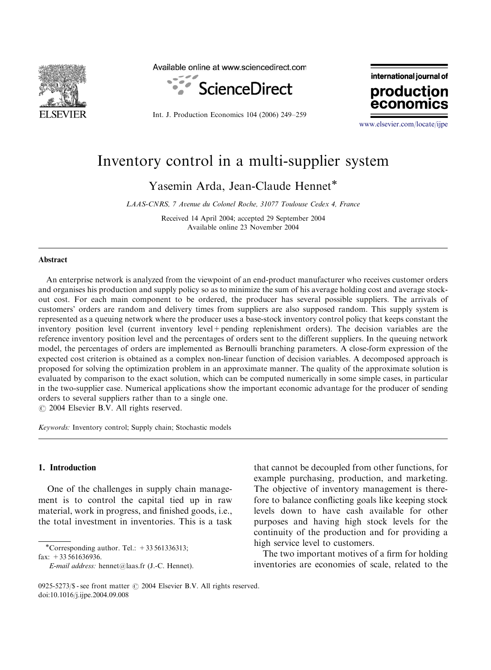

Available online at www.sciencedirect.com



Int. J. Production Economics 104 (2006) 249–259



[www.elsevier.com/locate/ijpe](www.elsevier.com/locate/dsw)

## Inventory control in a multi-supplier system

Yasemin Arda, Jean-Claude Hennet

LAAS-CNRS, 7 Avenue du Colonel Roche, 31077 Toulouse Cedex 4, France

Received 14 April 2004; accepted 29 September 2004 Available online 23 November 2004

## Abstract

An enterprise network is analyzed from the viewpoint of an end-product manufacturer who receives customer orders and organises his production and supply policy so as to minimize the sum of his average holding cost and average stockout cost. For each main component to be ordered, the producer has several possible suppliers. The arrivals of customers' orders are random and delivery times from suppliers are also supposed random. This supply system is represented as a queuing network where the producer uses a base-stock inventory control policy that keeps constant the inventory position level (current inventory level+pending replenishment orders). The decision variables are the reference inventory position level and the percentages of orders sent to the different suppliers. In the queuing network model, the percentages of orders are implemented as Bernoulli branching parameters. A close-form expression of the expected cost criterion is obtained as a complex non-linear function of decision variables. A decomposed approach is proposed for solving the optimization problem in an approximate manner. The quality of the approximate solution is evaluated by comparison to the exact solution, which can be computed numerically in some simple cases, in particular in the two-supplier case. Numerical applications show the important economic advantage for the producer of sending orders to several suppliers rather than to a single one.

 $\odot$  2004 Elsevier B.V. All rights reserved.

Keywords: Inventory control; Supply chain; Stochastic models

## 1. Introduction

One of the challenges in supply chain management is to control the capital tied up in raw material, work in progress, and finished goods, i.e., the total investment in inventories. This is a task

\*Corresponding author. Tel.:  $+33\,561336313$ ;

fax:  $+33\,561636936$ .

that cannot be decoupled from other functions, for example purchasing, production, and marketing. The objective of inventory management is therefore to balance conflicting goals like keeping stock levels down to have cash available for other purposes and having high stock levels for the continuity of the production and for providing a high service level to customers.

The two important motives of a firm for holding inventories are economies of scale, related to the

E-mail address: hennet@laas.fr (J.-C. Hennet).

<sup>0925-5273/\$ -</sup> see front matter  $\odot$  2004 Elsevier B.V. All rights reserved. doi:10.1016/j.ijpe.2004.09.008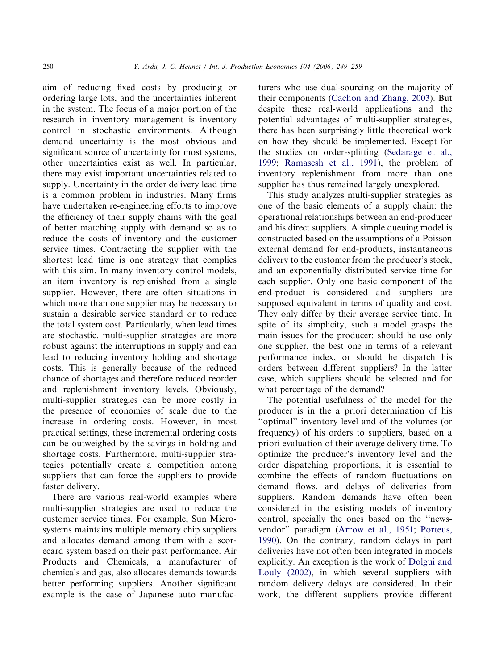aim of reducing fixed costs by producing or ordering large lots, and the uncertainties inherent in the system. The focus of a major portion of the research in inventory management is inventory control in stochastic environments. Although demand uncertainty is the most obvious and significant source of uncertainty for most systems. other uncertainties exist as well. In particular, there may exist important uncertainties related to supply. Uncertainty in the order delivery lead time is a common problem in industries. Many firms have undertaken re-engineering efforts to improve the efficiency of their supply chains with the goal of better matching supply with demand so as to reduce the costs of inventory and the customer service times. Contracting the supplier with the shortest lead time is one strategy that complies with this aim. In many inventory control models, an item inventory is replenished from a single supplier. However, there are often situations in which more than one supplier may be necessary to sustain a desirable service standard or to reduce the total system cost. Particularly, when lead times are stochastic, multi-supplier strategies are more robust against the interruptions in supply and can lead to reducing inventory holding and shortage costs. This is generally because of the reduced chance of shortages and therefore reduced reorder and replenishment inventory levels. Obviously, multi-supplier strategies can be more costly in the presence of economies of scale due to the increase in ordering costs. However, in most practical settings, these incremental ordering costs can be outweighed by the savings in holding and shortage costs. Furthermore, multi-supplier strategies potentially create a competition among suppliers that can force the suppliers to provide faster delivery.

There are various real-world examples where multi-supplier strategies are used to reduce the customer service times. For example, Sun Microsystems maintains multiple memory chip suppliers and allocates demand among them with a scorecard system based on their past performance. Air Products and Chemicals, a manufacturer of chemicals and gas, also allocates demands towards better performing suppliers. Another significant example is the case of Japanese auto manufacturers who use dual-sourcing on the majority of their components ([Cachon and Zhang, 2003\)](#page--1-0). But despite these real-world applications and the potential advantages of multi-supplier strategies, there has been surprisingly little theoretical work on how they should be implemented. Except for the studies on order-splitting ([Sedarage et al.,](#page--1-0) [1999](#page--1-0); [Ramasesh et al., 1991\)](#page--1-0), the problem of inventory replenishment from more than one supplier has thus remained largely unexplored.

This study analyzes multi-supplier strategies as one of the basic elements of a supply chain: the operational relationships between an end-producer and his direct suppliers. A simple queuing model is constructed based on the assumptions of a Poisson external demand for end-products, instantaneous delivery to the customer from the producer's stock, and an exponentially distributed service time for each supplier. Only one basic component of the end-product is considered and suppliers are supposed equivalent in terms of quality and cost. They only differ by their average service time. In spite of its simplicity, such a model grasps the main issues for the producer: should he use only one supplier, the best one in terms of a relevant performance index, or should he dispatch his orders between different suppliers? In the latter case, which suppliers should be selected and for what percentage of the demand?

The potential usefulness of the model for the producer is in the a priori determination of his ''optimal'' inventory level and of the volumes (or frequency) of his orders to suppliers, based on a priori evaluation of their average delivery time. To optimize the producer's inventory level and the order dispatching proportions, it is essential to combine the effects of random fluctuations on demand flows, and delays of deliveries from suppliers. Random demands have often been considered in the existing models of inventory control, specially the ones based on the ''newsvendor'' paradigm [\(Arrow et al., 1951;](#page--1-0) [Porteus,](#page--1-0) [1990](#page--1-0)). On the contrary, random delays in part deliveries have not often been integrated in models explicitly. An exception is the work of [Dolgui and](#page--1-0) [Louly \(2002\)](#page--1-0), in which several suppliers with random delivery delays are considered. In their work, the different suppliers provide different